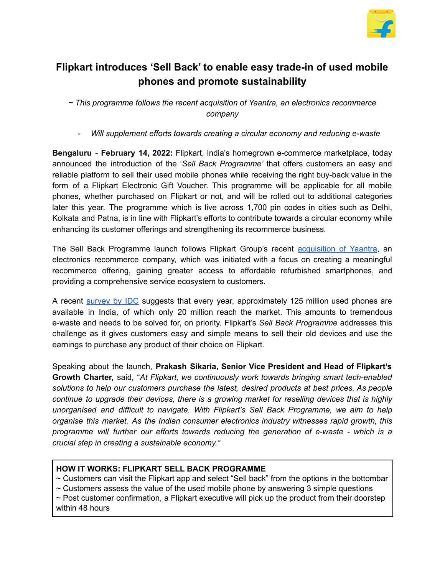

## **Flipkart introduces 'Sell Back' to enable easy trade-in of used mobile phones and promote sustainability**

*~ This programme follows the recent acquisition of Yaantra, an electronics recommerce company*

*- Will supplement efforts towards creating a circular economy and reducing e-waste*

**Bengaluru - February 14, 2022:** Flipkart, India's homegrown e-commerce marketplace, today announced the introduction of the '*Sell Back Programme'* that offers customers an easy and reliable platform to sell their used mobile phones while receiving the right buy-back value in the form of a Flipkart Electronic Gift Voucher. This programme will be applicable for all mobile phones, whether purchased on Flipkart or not, and will be rolled out to additional categories later this year. The programme which is live across 1,700 pin codes in cities such as Delhi, Kolkata and Patna, is in line with Flipkart's efforts to contribute towards a circular economy while enhancing its customer offerings and strengthening its recommerce business.

The Sell Back Programme launch follows Flipkart Group's recent [acquisition](https://storiesflistgv2.blob.core.windows.net/stories/2022/01/FINAL-220113-Flipkart-Group-acquires-electronics-recommerce-company-Yaantra.pdf) of Yaantra, an electronics recommerce company, which was initiated with a focus on creating a meaningful recommerce offering, gaining greater access to affordable refurbished smartphones, and providing a comprehensive service ecosystem to customers.

A recent [survey](https://icea.org.in/wp-content/uploads/2022/02/ICEA-IDC-Re-commerce-Report.pdf) by IDC suggests that every year, approximately 125 million used phones are available in India, of which only 20 million reach the market. This amounts to tremendous e-waste and needs to be solved for, on priority. Flipkart's *Sell Back Programme* addresses this challenge as it gives customers easy and simple means to sell their old devices and use the earnings to purchase any product of their choice on Flipkart.

Speaking about the launch, **Prakash Sikaria, Senior Vice President and Head of Flipkart's Growth Charter,** said, "*At Flipkart, we continuously work towards bringing smart tech-enabled solutions to help our customers purchase the latest, desired products at best prices. As people continue to upgrade their devices, there is a growing market for reselling devices that is highly unorganised and difficult to navigate. With Flipkart's Sell Back Programme, we aim to help organise this market. As the Indian consumer electronics industry witnesses rapid growth, this programme will further our efforts towards reducing the generation of e-waste - which is a crucial step in creating a sustainable economy."*

## **HOW IT WORKS: FLIPKART SELL BACK PROGRAMME**

 $\sim$  Customers can visit the Flipkart app and select "Sell back" from the options in the bottombar

 $\sim$  Customers assess the value of the used mobile phone by answering 3 simple questions

 $\sim$  Post customer confirmation, a Flipkart executive will pick up the product from their doorstep within 48 hours